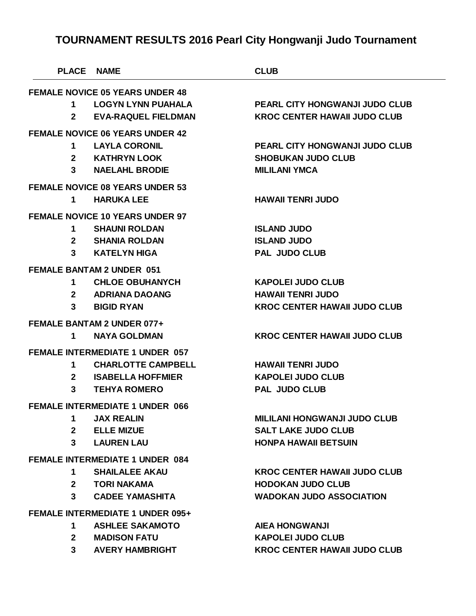| <b>PLACE</b>                            | <b>NAME</b>                            | <b>CLUB</b>                           |  |  |
|-----------------------------------------|----------------------------------------|---------------------------------------|--|--|
| <b>FEMALE NOVICE 05 YEARS UNDER 48</b>  |                                        |                                       |  |  |
| 1                                       | <b>LOGYN LYNN PUAHALA</b>              | <b>PEARL CITY HONGWANJI JUDO CLUB</b> |  |  |
| $\mathbf{2}$                            | <b>EVA-RAQUEL FIELDMAN</b>             | <b>KROC CENTER HAWAII JUDO CLUB</b>   |  |  |
|                                         | <b>FEMALE NOVICE 06 YEARS UNDER 42</b> |                                       |  |  |
| 1                                       | <b>LAYLA CORONIL</b>                   | <b>PEARL CITY HONGWANJI JUDO CLUB</b> |  |  |
| $\mathbf{2}$                            | KATHRYN LOOK                           | <b>SHOBUKAN JUDO CLUB</b>             |  |  |
| 3                                       | <b>NAELAHL BRODIE</b>                  | <b>MILILANI YMCA</b>                  |  |  |
|                                         | <b>FEMALE NOVICE 08 YEARS UNDER 53</b> |                                       |  |  |
| 1                                       | <b>HARUKA LEE</b>                      | <b>HAWAII TENRI JUDO</b>              |  |  |
|                                         | <b>FEMALE NOVICE 10 YEARS UNDER 97</b> |                                       |  |  |
| 1                                       | <b>SHAUNI ROLDAN</b>                   | <b>ISLAND JUDO</b>                    |  |  |
|                                         | 2 SHANIA ROLDAN                        | <b>ISLAND JUDO</b>                    |  |  |
| 3                                       | KATELYN HIGA                           | <b>PAL JUDO CLUB</b>                  |  |  |
| <b>FEMALE BANTAM 2 UNDER 051</b>        |                                        |                                       |  |  |
| 1                                       | <b>CHLOE OBUHANYCH</b>                 | <b>KAPOLEI JUDO CLUB</b>              |  |  |
|                                         | 2 ADRIANA DAOANG                       | <b>HAWAII TENRI JUDO</b>              |  |  |
| 3                                       | <b>BIGID RYAN</b>                      | <b>KROC CENTER HAWAII JUDO CLUB</b>   |  |  |
|                                         | FEMALE BANTAM 2 UNDER 077+             |                                       |  |  |
| 1                                       | <b>NAYA GOLDMAN</b>                    | <b>KROC CENTER HAWAII JUDO CLUB</b>   |  |  |
|                                         | <b>FEMALE INTERMEDIATE 1 UNDER 057</b> |                                       |  |  |
| 1                                       | <b>CHARLOTTE CAMPBELL</b>              | <b>HAWAII TENRI JUDO</b>              |  |  |
| $\mathbf{2}$                            | <b>ISABELLA HOFFMIER</b>               | <b>KAPOLEI JUDO CLUB</b>              |  |  |
| 3                                       | <b>TEHYA ROMERO</b>                    | <b>PAL JUDO CLUB</b>                  |  |  |
|                                         | <b>FEMALE INTERMEDIATE 1 UNDER 066</b> |                                       |  |  |
| 1 $\blacksquare$                        | <b>JAX REALIN</b>                      | <b>MILILANI HONGWANJI JUDO CLUB</b>   |  |  |
|                                         | 2 ELLE MIZUE                           | <b>SALT LAKE JUDO CLUB</b>            |  |  |
|                                         | 3 LAUREN LAU                           | <b>HONPA HAWAII BETSUIN</b>           |  |  |
| <b>FEMALE INTERMEDIATE 1 UNDER 084</b>  |                                        |                                       |  |  |
| $\mathbf 1$                             | <b>SHAILALEE AKAU</b>                  | <b>KROC CENTER HAWAII JUDO CLUB</b>   |  |  |
|                                         | 2 TORI NAKAMA                          | <b>HODOKAN JUDO CLUB</b>              |  |  |
|                                         | 3 CADEE YAMASHITA                      | <b>WADOKAN JUDO ASSOCIATION</b>       |  |  |
| <b>FEMALE INTERMEDIATE 1 UNDER 095+</b> |                                        |                                       |  |  |
|                                         | 1 ASHLEE SAKAMOTO                      | <b>AIEA HONGWANJI</b>                 |  |  |
|                                         | 2 MADISON FATU                         | <b>KAPOLEI JUDO CLUB</b>              |  |  |
|                                         | 3 AVERY HAMBRIGHT                      | <b>KROC CENTER HAWAII JUDO CLUB</b>   |  |  |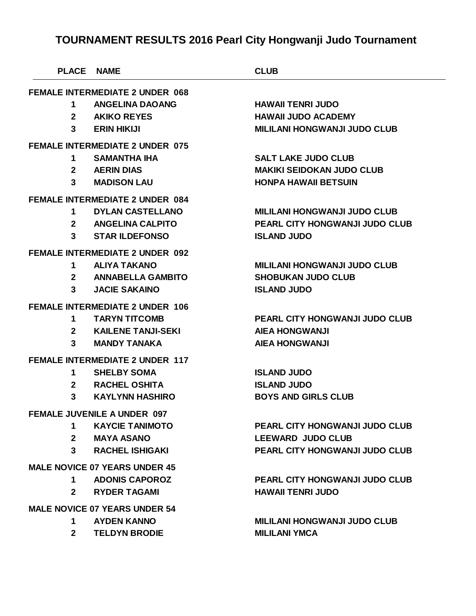| <b>PLACE</b>                           | <b>NAME</b>                            | <b>CLUB</b>                           |  |  |
|----------------------------------------|----------------------------------------|---------------------------------------|--|--|
| <b>FEMALE INTERMEDIATE 2 UNDER 068</b> |                                        |                                       |  |  |
| 1                                      | <b>ANGELINA DAOANG</b>                 | <b>HAWAII TENRI JUDO</b>              |  |  |
| $\mathbf{2}$                           | <b>AKIKO REYES</b>                     | <b>HAWAII JUDO ACADEMY</b>            |  |  |
| 3                                      | <b>ERIN HIKIJI</b>                     | <b>MILILANI HONGWANJI JUDO CLUB</b>   |  |  |
| <b>FEMALE INTERMEDIATE 2 UNDER 075</b> |                                        |                                       |  |  |
| 1                                      | <b>SAMANTHA IHA</b>                    | <b>SALT LAKE JUDO CLUB</b>            |  |  |
| $\mathbf{2}$                           | <b>AERIN DIAS</b>                      | <b>MAKIKI SEIDOKAN JUDO CLUB</b>      |  |  |
| 3                                      | <b>MADISON LAU</b>                     | <b>HONPA HAWAII BETSUIN</b>           |  |  |
|                                        | <b>FEMALE INTERMEDIATE 2 UNDER 084</b> |                                       |  |  |
| 1                                      | <b>DYLAN CASTELLANO</b>                | <b>MILILANI HONGWANJI JUDO CLUB</b>   |  |  |
| $\mathbf{2}$                           | <b>ANGELINA CALPITO</b>                | <b>PEARL CITY HONGWANJI JUDO CLUB</b> |  |  |
| 3                                      | <b>STAR ILDEFONSO</b>                  | <b>ISLAND JUDO</b>                    |  |  |
|                                        | <b>FEMALE INTERMEDIATE 2 UNDER 092</b> |                                       |  |  |
| 1                                      | <b>ALIYA TAKANO</b>                    | <b>MILILANI HONGWANJI JUDO CLUB</b>   |  |  |
| $\mathbf{2}$                           | <b>ANNABELLA GAMBITO</b>               | <b>SHOBUKAN JUDO CLUB</b>             |  |  |
| 3                                      | <b>JACIE SAKAINO</b>                   | <b>ISLAND JUDO</b>                    |  |  |
|                                        | <b>FEMALE INTERMEDIATE 2 UNDER 106</b> |                                       |  |  |
| 1                                      | <b>TARYN TITCOMB</b>                   | <b>PEARL CITY HONGWANJI JUDO CLUB</b> |  |  |
| $\mathbf{2}$                           | <b>KAILENE TANJI-SEKI</b>              | <b>AIEA HONGWANJI</b>                 |  |  |
| 3                                      | <b>MANDY TANAKA</b>                    | <b>AIEA HONGWANJI</b>                 |  |  |
|                                        | <b>FEMALE INTERMEDIATE 2 UNDER 117</b> |                                       |  |  |
| 1                                      | <b>SHELBY SOMA</b>                     | <b>ISLAND JUDO</b>                    |  |  |
| $\mathbf{2}$                           | <b>RACHEL OSHITA</b>                   | <b>ISLAND JUDO</b>                    |  |  |
| 3                                      | <b>KAYLYNN HASHIRO</b>                 | <b>BOYS AND GIRLS CLUB</b>            |  |  |
| <b>FEMALE JUVENILE A UNDER 097</b>     |                                        |                                       |  |  |
| $\mathbf 1$                            | <b>KAYCIE TANIMOTO</b>                 | <b>PEARL CITY HONGWANJI JUDO CLUB</b> |  |  |
|                                        | 2 MAYA ASANO                           | <b>LEEWARD JUDO CLUB</b>              |  |  |
| 3                                      | <b>RACHEL ISHIGAKI</b>                 | <b>PEARL CITY HONGWANJI JUDO CLUB</b> |  |  |
| <b>MALE NOVICE 07 YEARS UNDER 45</b>   |                                        |                                       |  |  |
| 1.                                     | <b>ADONIS CAPOROZ</b>                  | <b>PEARL CITY HONGWANJI JUDO CLUB</b> |  |  |
| $\mathbf{2}$                           | <b>RYDER TAGAMI</b>                    | <b>HAWAII TENRI JUDO</b>              |  |  |
| <b>MALE NOVICE 07 YEARS UNDER 54</b>   |                                        |                                       |  |  |
| 1.                                     | <b>AYDEN KANNO</b>                     | <b>MILILANI HONGWANJI JUDO CLUB</b>   |  |  |
| $2^{\sim}$                             | <b>TELDYN BRODIE</b>                   | <b>MILILANI YMCA</b>                  |  |  |
|                                        |                                        |                                       |  |  |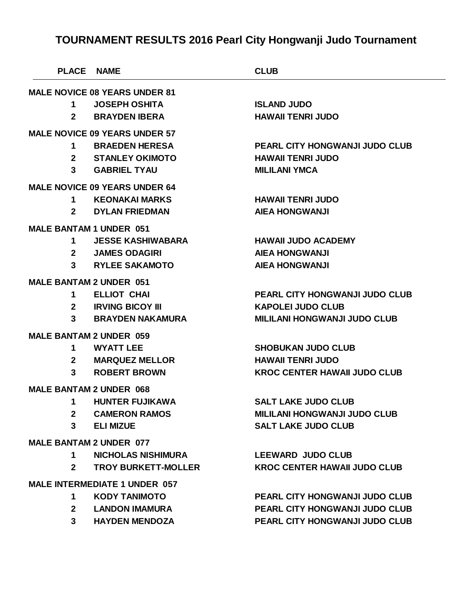| <b>PLACE NAME</b>                    |                                      | <b>CLUB</b>                           |  |  |
|--------------------------------------|--------------------------------------|---------------------------------------|--|--|
|                                      | <b>MALE NOVICE 08 YEARS UNDER 81</b> |                                       |  |  |
| 1                                    | <b>JOSEPH OSHITA</b>                 | <b>ISLAND JUDO</b>                    |  |  |
| $\mathbf{2}$                         | <b>BRAYDEN IBERA</b>                 | <b>HAWAII TENRI JUDO</b>              |  |  |
|                                      | <b>MALE NOVICE 09 YEARS UNDER 57</b> |                                       |  |  |
| 1.                                   | <b>BRAEDEN HERESA</b>                | <b>PEARL CITY HONGWANJI JUDO CLUB</b> |  |  |
| $\mathbf{2}$                         | <b>STANLEY OKIMOTO</b>               | <b>HAWAII TENRI JUDO</b>              |  |  |
| 3                                    | <b>GABRIEL TYAU</b>                  | <b>MILILANI YMCA</b>                  |  |  |
|                                      | <b>MALE NOVICE 09 YEARS UNDER 64</b> |                                       |  |  |
| 1                                    | KEONAKAI MARKS                       | <b>HAWAII TENRI JUDO</b>              |  |  |
| $2^{\circ}$                          | <b>DYLAN FRIEDMAN</b>                | <b>AIEA HONGWANJI</b>                 |  |  |
| <b>MALE BANTAM 1 UNDER 051</b>       |                                      |                                       |  |  |
| 1                                    | <b>JESSE KASHIWABARA</b>             | <b>HAWAII JUDO ACADEMY</b>            |  |  |
| $2^{\circ}$                          | <b>JAMES ODAGIRI</b>                 | <b>AIEA HONGWANJI</b>                 |  |  |
| 3                                    | <b>RYLEE SAKAMOTO</b>                | <b>AIEA HONGWANJI</b>                 |  |  |
| <b>MALE BANTAM 2 UNDER 051</b>       |                                      |                                       |  |  |
| 1                                    | <b>ELLIOT CHAI</b>                   | <b>PEARL CITY HONGWANJI JUDO CLUB</b> |  |  |
| 2 <sup>1</sup>                       | <b>IRVING BICOY III</b>              | <b>KAPOLEI JUDO CLUB</b>              |  |  |
| 3                                    | <b>BRAYDEN NAKAMURA</b>              | <b>MILILANI HONGWANJI JUDO CLUB</b>   |  |  |
| <b>MALE BANTAM 2 UNDER 059</b>       |                                      |                                       |  |  |
| 1                                    | <b>WYATT LEE</b>                     | <b>SHOBUKAN JUDO CLUB</b>             |  |  |
| $\mathbf{2}$                         | <b>MARQUEZ MELLOR</b>                | <b>HAWAII TENRI JUDO</b>              |  |  |
| 3                                    | <b>ROBERT BROWN</b>                  | <b>KROC CENTER HAWAII JUDO CLUB</b>   |  |  |
| <b>MALE BANTAM 2 UNDER 068</b>       |                                      |                                       |  |  |
| 1                                    | <b>HUNTER FUJIKAWA</b>               | <b>SALT LAKE JUDO CLUB</b>            |  |  |
| $\mathbf{2}$                         | <b>CAMERON RAMOS</b>                 | <b>MILILANI HONGWANJI JUDO CLUB</b>   |  |  |
| $3^{\circ}$                          | <b>ELI MIZUE</b>                     | <b>SALT LAKE JUDO CLUB</b>            |  |  |
| <b>MALE BANTAM 2 UNDER 077</b>       |                                      |                                       |  |  |
| 1                                    | <b>NICHOLAS NISHIMURA</b>            | <b>LEEWARD JUDO CLUB</b>              |  |  |
| $\mathbf{2}$                         | <b>TROY BURKETT-MOLLER</b>           | <b>KROC CENTER HAWAII JUDO CLUB</b>   |  |  |
|                                      |                                      |                                       |  |  |
| <b>MALE INTERMEDIATE 1 UNDER 057</b> |                                      |                                       |  |  |
| 1.                                   | <b>KODY TANIMOTO</b>                 | <b>PEARL CITY HONGWANJI JUDO CLUB</b> |  |  |
| $\mathbf{2}$                         | <b>LANDON IMAMURA</b>                | PEARL CITY HONGWANJI JUDO CLUB        |  |  |

**HAYDEN MENDOZA PEARL CITY HONGWANJI JUDO CLUB**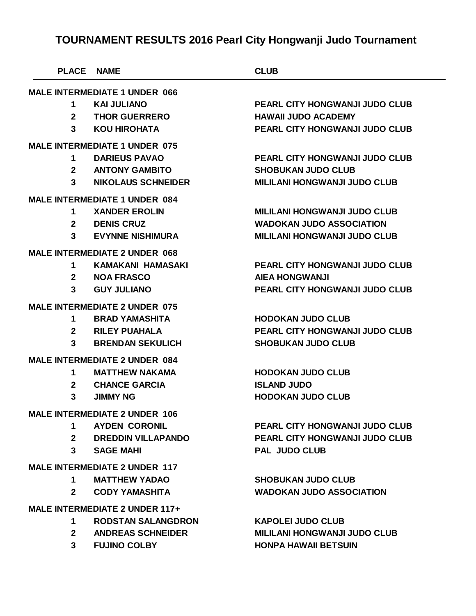| <b>PLACE</b>                          | <b>NAME</b>                          | <b>CLUB</b>                           |  |  |
|---------------------------------------|--------------------------------------|---------------------------------------|--|--|
|                                       | <b>MALE INTERMEDIATE 1 UNDER 066</b> |                                       |  |  |
| 1                                     | <b>KAI JULIANO</b>                   | <b>PEARL CITY HONGWANJI JUDO CLUB</b> |  |  |
| $\mathbf{2}$                          | <b>THOR GUERRERO</b>                 | <b>HAWAII JUDO ACADEMY</b>            |  |  |
| 3                                     | <b>KOU HIROHATA</b>                  | <b>PEARL CITY HONGWANJI JUDO CLUB</b> |  |  |
|                                       | <b>MALE INTERMEDIATE 1 UNDER 075</b> |                                       |  |  |
| 1                                     | <b>DARIEUS PAVAO</b>                 | <b>PEARL CITY HONGWANJI JUDO CLUB</b> |  |  |
| $\overline{2}$                        | <b>ANTONY GAMBITO</b>                | <b>SHOBUKAN JUDO CLUB</b>             |  |  |
| $\mathbf{3}$                          | <b>NIKOLAUS SCHNEIDER</b>            | <b>MILILANI HONGWANJI JUDO CLUB</b>   |  |  |
|                                       | <b>MALE INTERMEDIATE 1 UNDER 084</b> |                                       |  |  |
| 1                                     | <b>XANDER EROLIN</b>                 | <b>MILILANI HONGWANJI JUDO CLUB</b>   |  |  |
| $\mathbf{2}$                          | <b>DENIS CRUZ</b>                    | <b>WADOKAN JUDO ASSOCIATION</b>       |  |  |
| 3                                     | <b>EVYNNE NISHIMURA</b>              | <b>MILILANI HONGWANJI JUDO CLUB</b>   |  |  |
|                                       | <b>MALE INTERMEDIATE 2 UNDER 068</b> |                                       |  |  |
| 1                                     | <b>KAMAKANI HAMASAKI</b>             | <b>PEARL CITY HONGWANJI JUDO CLUB</b> |  |  |
| $\mathbf{2}$                          | <b>NOA FRASCO</b>                    | <b>AIEA HONGWANJI</b>                 |  |  |
| 3                                     | <b>GUY JULIANO</b>                   | <b>PEARL CITY HONGWANJI JUDO CLUB</b> |  |  |
|                                       | <b>MALE INTERMEDIATE 2 UNDER 075</b> |                                       |  |  |
| 1                                     | <b>BRAD YAMASHITA</b>                | <b>HODOKAN JUDO CLUB</b>              |  |  |
| $\mathbf{2}$                          | <b>RILEY PUAHALA</b>                 | <b>PEARL CITY HONGWANJI JUDO CLUB</b> |  |  |
| 3                                     | <b>BRENDAN SEKULICH</b>              | <b>SHOBUKAN JUDO CLUB</b>             |  |  |
|                                       | <b>MALE INTERMEDIATE 2 UNDER 084</b> |                                       |  |  |
| 1                                     | <b>MATTHEW NAKAMA</b>                | <b>HODOKAN JUDO CLUB</b>              |  |  |
| $\mathbf{2}$                          | <b>CHANCE GARCIA</b>                 | <b>ISLAND JUDO</b>                    |  |  |
| 3                                     | <b>JIMMY NG</b>                      | <b>HODOKAN JUDO CLUB</b>              |  |  |
| <b>MALE INTERMEDIATE 2 UNDER 106</b>  |                                      |                                       |  |  |
| 1.                                    | <b>AYDEN CORONIL</b>                 | <b>PEARL CITY HONGWANJI JUDO CLUB</b> |  |  |
| $\mathbf{2}$                          | DREDDIN VILLAPANDO                   | <b>PEARL CITY HONGWANJI JUDO CLUB</b> |  |  |
| $\mathbf{3}$                          | <b>SAGE MAHI</b>                     | <b>PAL JUDO CLUB</b>                  |  |  |
| <b>MALE INTERMEDIATE 2 UNDER 117</b>  |                                      |                                       |  |  |
| 1.                                    | <b>MATTHEW YADAO</b>                 | <b>SHOBUKAN JUDO CLUB</b>             |  |  |
| $\mathbf{2}$                          | <b>CODY YAMASHITA</b>                | <b>WADOKAN JUDO ASSOCIATION</b>       |  |  |
| <b>MALE INTERMEDIATE 2 UNDER 117+</b> |                                      |                                       |  |  |
| 1.                                    | <b>RODSTAN SALANGDRON</b>            | <b>KAPOLEI JUDO CLUB</b>              |  |  |
| $\mathbf{2}$                          | <b>ANDREAS SCHNEIDER</b>             | <b>MILILANI HONGWANJI JUDO CLUB</b>   |  |  |
| 3 <sup>1</sup>                        | <b>FUJINO COLBY</b>                  | <b>HONPA HAWAII BETSUIN</b>           |  |  |
|                                       |                                      |                                       |  |  |